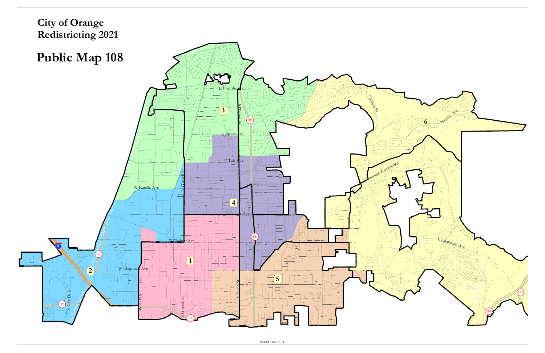